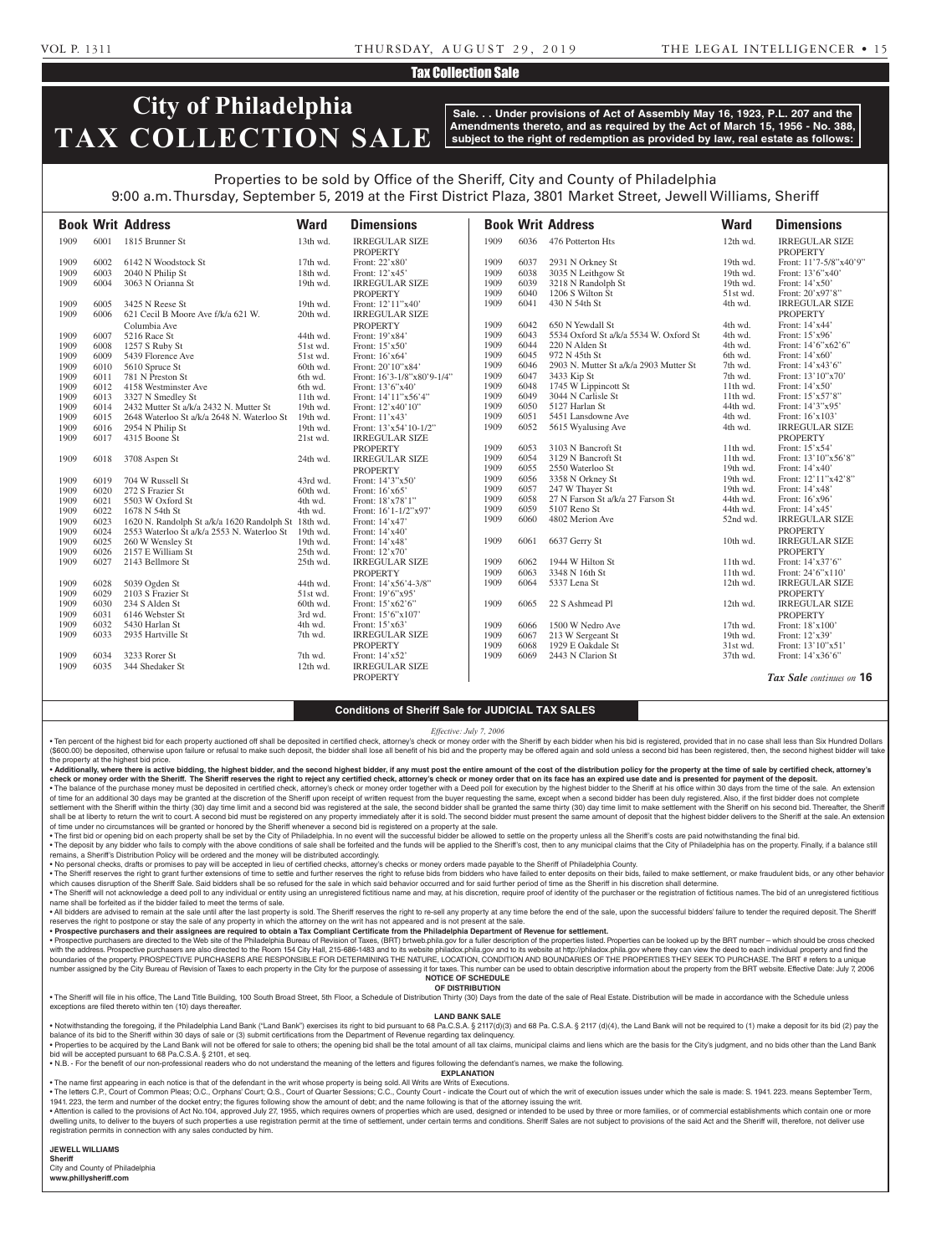#### VOL P. 1311 THURSDAY, AUGUST 29, 2019 THE LEGAL INTELLIGENCER • 15

#### Tax Collection Sale

## **City of Philadelphia TAX COLLECTION SALE**

**Sale. . . Under provisions of Act of Assembly May 16, 1923, P.L. 207 and the Amendments thereto, and as required by the Act of March 15, 1956 - No. 388, subject to the right of redemption as provided by law, real estate as follows:**

### Properties to be sold by Office of the Sheriff, City and County of Philadelphia

9:00 a.m. Thursday, September 5, 2019 at the First District Plaza, 3801 Market Street, Jewell Williams, Sheriff

|      |      | <b>Book Writ Address</b>                            | <b>Ward</b> | <b>Dimensions</b>          |      |      | <b>Book Writ Address</b>               | <b>Ward</b> | <b>Dimensions</b>        |
|------|------|-----------------------------------------------------|-------------|----------------------------|------|------|----------------------------------------|-------------|--------------------------|
| 1909 | 6001 | 1815 Brunner St                                     | 13th wd.    | <b>IRREGULAR SIZE</b>      | 1909 | 6036 | 476 Potterton Hts                      | 12th wd.    | <b>IRREGULAR SIZE</b>    |
|      |      |                                                     |             | <b>PROPERTY</b>            |      |      |                                        |             | <b>PROPERTY</b>          |
| 1909 | 6002 | 6142 N Woodstock St                                 | $17th$ wd.  | Front: 22'x80'             | 1909 | 6037 | 2931 N Orkney St                       | 19th wd.    | Front: 11'7-5/8"x40'9"   |
| 1909 | 6003 | 2040 N Philip St                                    | 18th wd.    | Front: 12'x45'             | 1909 | 6038 | 3035 N Leithgow St                     | 19th wd.    | Front: 13'6"x40"         |
| 1909 | 6004 | 3063 N Orianna St                                   | 19th wd.    | <b>IRREGULAR SIZE</b>      | 1909 | 6039 | 3218 N Randolph St                     | 19th wd.    | Front: $14'x50'$         |
|      |      |                                                     |             | <b>PROPERTY</b>            | 1909 | 6040 | 1206 S Wilton St                       | 51st wd.    | Front: 20'x97'8"         |
| 1909 | 6005 | 3425 N Reese St                                     | 19th wd.    | Front: 12'11"x40'          | 1909 | 6041 | 430 N 54th St                          | 4th wd.     | <b>IRREGULAR SIZE</b>    |
| 1909 | 6006 | 621 Cecil B Moore Ave f/k/a 621 W.                  | 20th wd.    | <b>IRREGULAR SIZE</b>      |      |      |                                        |             | <b>PROPERTY</b>          |
|      |      | Columbia Ave                                        |             | <b>PROPERTY</b>            | 1909 | 6042 | 650 N Yewdall St                       | 4th wd.     | Front: 14'x44'           |
| 1909 | 6007 | 5216 Race St                                        | 44th wd.    | Front: 19'x84'             | 1909 | 6043 | 5534 Oxford St a/k/a 5534 W. Oxford St | 4th wd.     | Front: 15'x96'           |
| 1909 | 6008 | 1257 S Ruby St                                      | 51st wd.    | Front: 15'x50'             | 1909 | 6044 | 220 N Alden St                         | 4th wd.     | Front: 14'6"x62'6"       |
| 1909 | 6009 | 5439 Florence Ave                                   | 51st wd.    | Front: 16'x64'             | 1909 | 6045 | 972 N 45th St                          | 6th wd.     | Front: $14'x60'$         |
| 1909 | 6010 | 5610 Spruce St                                      | 60th wd.    | Front: 20'10"x84'          | 1909 | 6046 | 2903 N. Mutter St a/k/a 2903 Mutter St | 7th wd.     | Front: 14'x43'6"         |
| 1909 | 6011 | 781 N Preston St                                    | 6th wd.     | Front: 16'3-1/8"x80'9-1/4" | 1909 | 6047 | 3433 Kip St                            | 7th wd.     | Front: 13'10"x70"        |
| 1909 | 6012 | 4158 Westminster Ave                                | 6th wd.     | Front: 13'6"x40"           | 1909 | 6048 | 1745 W Lippincott St                   | 11th wd.    | Front: 14'x50'           |
| 1909 | 6013 | 3327 N Smedley St                                   | 11th wd.    | Front: $14'11''x56'4"$     | 1909 | 6049 | 3044 N Carlisle St                     | $11th$ wd.  | Front: 15'x57'8"         |
| 1909 | 6014 | 2432 Mutter St a/k/a 2432 N. Mutter St              | 19th wd.    | Front: 12'x40'10"          | 1909 | 6050 | 5127 Harlan St                         | 44th wd.    | Front: 14'3"x95'         |
| 1909 | 6015 | 2648 Waterloo St a/k/a 2648 N. Waterloo St          | 19th wd.    | Front: 11'x43'             | 1909 | 6051 | 5451 Lansdowne Ave                     | 4th wd.     | Front: 16'x103'          |
| 1909 | 6016 | 2954 N Philip St                                    | 19th wd.    | Front: 13'x54'10-1/2"      | 1909 | 6052 | 5615 Wyalusing Ave                     | 4th wd.     | <b>IRREGULAR SIZE</b>    |
| 1909 | 6017 | 4315 Boone St                                       | 21st wd.    | <b>IRREGULAR SIZE</b>      |      |      |                                        |             | <b>PROPERTY</b>          |
|      |      |                                                     |             | <b>PROPERTY</b>            | 1909 | 6053 | 3103 N Bancroft St                     | $11th$ wd.  | Front: 15'x54'           |
| 1909 | 6018 | 3708 Aspen St                                       | 24th wd.    | <b>IRREGULAR SIZE</b>      | 1909 | 6054 | 3129 N Bancroft St                     | 11th wd.    | Front: 13'10"x56'8"      |
|      |      |                                                     |             | <b>PROPERTY</b>            | 1909 | 6055 | 2550 Waterloo St                       | 19th wd.    | Front: 14'x40'           |
| 1909 | 6019 | 704 W Russell St                                    | 43rd wd.    | Front: 14'3"x50'           | 1909 | 6056 | 3358 N Orkney St                       | 19th wd.    | Front: 12'11"x42'8"      |
| 1909 | 6020 | 272 S Frazier St                                    | 60th wd.    | Front: 16'x65'             | 1909 | 6057 | 247 W Thayer St                        | 19th wd.    | Front: 14'x48'           |
| 1909 | 6021 | 5503 W Oxford St                                    | 4th wd.     | Front: 18'x78'1"           | 1909 | 6058 | 27 N Farson St a/k/a 27 Farson St      | 44th wd.    | Front: 16'x96'           |
| 1909 | 6022 | 1678 N 54th St                                      | 4th wd.     | Front: 16'1-1/2"x97'       | 1909 | 6059 | 5107 Reno St                           | 44th wd.    | Front: 14'x45'           |
| 1909 | 6023 | 1620 N. Randolph St a/k/a 1620 Randolph St 18th wd. |             | Front: 14'x47'             | 1909 | 6060 | 4802 Merion Ave                        | 52nd wd.    | <b>IRREGULAR SIZE</b>    |
| 1909 | 6024 | 2553 Waterloo St a/k/a 2553 N. Waterloo St          | 19th wd.    | Front: 14'x40'             |      |      |                                        |             | <b>PROPERTY</b>          |
| 1909 | 6025 | 260 W Wensley St                                    | 19th wd.    | Front: 14'x48'             | 1909 | 6061 | 6637 Gerry St                          | 10th wd.    | <b>IRREGULAR SIZE</b>    |
| 1909 | 6026 | 2157 E William St                                   | 25th wd.    | Front: 12'x70'             |      |      |                                        |             | <b>PROPERTY</b>          |
| 1909 | 6027 | 2143 Bellmore St                                    | 25th wd.    | <b>IRREGULAR SIZE</b>      | 1909 | 6062 | 1944 W Hilton St                       | $11th$ wd.  | Front: 14'x37'6"         |
|      |      |                                                     |             | <b>PROPERTY</b>            | 1909 | 6063 | 3348 N 16th St                         | 11th wd.    | Front: 24'6"x110"        |
| 1909 | 6028 | 5039 Ogden St                                       | 44th wd.    | Front: 14'x56'4-3/8"       | 1909 | 6064 | 5337 Lena St                           | 12th wd.    | <b>IRREGULAR SIZE</b>    |
| 1909 | 6029 | 2103 S Frazier St                                   | 51st wd.    | Front: $19'6''x95'$        |      |      |                                        |             | <b>PROPERTY</b>          |
| 1909 | 6030 | 234 S Alden St                                      | 60th wd.    | Front: $15'x62'6"$         | 1909 | 6065 | 22 S Ashmead Pl                        | $12th$ wd.  | <b>IRREGULAR SIZE</b>    |
| 1909 | 6031 | 6146 Webster St                                     | 3rd wd.     | Front: 15'6"x107'          |      |      |                                        |             | <b>PROPERTY</b>          |
| 1909 | 6032 | 5430 Harlan St                                      | 4th wd.     | Front: 15'x63'             | 1909 | 6066 | 1500 W Nedro Ave                       | $17th$ wd.  | Front: 18'x100'          |
| 1909 | 6033 | 2935 Hartville St                                   | 7th wd.     | <b>IRREGULAR SIZE</b>      | 1909 | 6067 | 213 W Sergeant St                      | 19th wd.    | Front: 12'x39'           |
|      |      |                                                     |             | <b>PROPERTY</b>            | 1909 | 6068 | 1929 E Oakdale St                      | 31st wd.    | Front: 13'10"x51'        |
| 1909 | 6034 | 3233 Rorer St                                       | 7th wd.     | Front: 14'x52'             | 1909 | 6069 | 2443 N Clarion St                      | 37th wd.    | Front: 14'x36'6"         |
| 1909 | 6035 | 344 Shedaker St                                     | 12th wd.    | <b>IRREGULAR SIZE</b>      |      |      |                                        |             |                          |
|      |      |                                                     |             | <b>PROPERTY</b>            |      |      |                                        |             | Tax Sale continues on 16 |

#### **Conditions of Sheriff Sale for JUDICIAL TAX SALES**

*Effective: July 7, 2006*

• Ten percent of the highest bid for each property auctioned off shall be deposited in certified check, attorney's check or money order with the Sheriff by each bidder when his bid is registered, provided that in no case s (\$600.00) be deposited, otherwise upon failure or refusal to make such deposit, the bidder shall lose all benefit of his bid and the property may be offered again and sold unless a second bid has been registered, then, the the property at the highest bid price.

. Additionally, where there is active bidding, the highest bidder, and the second highest bidder, if any must post the entire amount of the cost of the distribution policy for the property at the time of sale by certified check or money order with the Sheriff. The Sheriff reserves the right to reject any certified check, attorney's check or money order that on its face has an expired use date and is presented for payment of the deposit. . The balance of the purchase money must be deposited in certified check, attorney's check or money order together with a Deed poll for execution by the highest bidder to the Sheriff at his office within 30 days from the t

of time for an additional 30 days may be granted at the discretion of the Sheriff upon receipt of written request from the buyer requesting the same, except when a second bidder has been duly registered. Also, if the first settlement with the Sheriff within the thirty (30) day time limit and a second bid was registered at the sale, the second bidder shall be granted the same thirty (30) day time limit to make settlement with the Sheriff on h shall be at liberty to return the writ to court. A second bid must be registered on any property immediately after it is sold. The second bidder must present the same amount of deposit that the highest bidder delivers to t of time under no circumstances will be granted or honored by the Sheriff whenever a second bid is registered on a property at the sale.

. The first bid or opening bid on each property shall be set by the City of Philadelphia. In no event will the successful bidder be allowed to settle on the property unless all the Sheriff's costs are paid notwithstanding . The deposit by any bidder who fails to comply with the above conditions of sale shall be forfeited and the funds will be applied to the Sheriff's cost, then to any municipal claims that the City of Philadelphia has on th remains, a Sheriff's Distribution Policy will be ordered and the money will be distributed accordingly.

• No personal checks, drafts or promises to pay will be accepted in lieu of certified checks, attorney's checks or money orders made payable to the Sheriff of Philadelphia County.

. The Sheriff reserves the right to grant further extensions of time to settle and further reserves the right to refuse bids from bidders who have failed to enter deposits on their bids, failed to make settlement, or make which causes disruption of the Sheriff Sale. Said bidders shall be so refused for the sale in which said behavior occurred and for said further period of time as the Sheriff in his discretion shall determine. . The Sheriff will not acknowledge a deed poll to any individual or entity using an unregistered fictitious name and may, at his discretion, require proof of identity of the purchaser or the registration of fictitious name

name shall be forfeited as if the bidder failed to meet the terms of sale. . All bidders are advised to remain at the sale until after the last property is sold. The Sheriff reserves the right to re-sell any property at any time before the end of the sale, upon the successful bidders' failure to

reserves the right to postpone or stay the sale of any property in which the attorney on the writ has not appeared and is not present at the sale. • **Prospective purchasers and their assignees are required to obtain a Tax Compliant Certificate from the Philadelphia Department of Revenue for settlement.**

. Prospective purchasers are directed to the Web site of the Philadelphia Bureau of Revision of Taxes, (BRT) brtweb.phila.gov for a fuller description of the properties listed. Properties can be looked up by the BRT number with the address. Prospective purchasers are also directed to the Room 154 City Hall, 215-686-1483 and to its website philadox.phila.gov and to its website at http://philadox.phila.gov where they can view the deed to each boundaries of the property. PROSPECTIVE PURCHASERS ARE RESPONSIBLE FOR DETERMINING THE NATURE, LOCATION, CONDITION AND BOUNDARIES OF THE PROPERTIES THEY SEEK TO PURCHASE. The BRT # refers to a unique number assigned by the City Bureau of Revision of Taxes to each property in the City for the purpose of assessing it for taxes. This number can be used to obtain descriptive information about the property from the BRT webs **NOTICE OF SCHEDULE**

#### **OF DISTRIBUTION**

. The Sheriff will file in his office, The Land Title Building, 100 South Broad Street, 5th Floor, a Schedule of Distribution Thirty (30) Days from the date of the sale of Real Estate. Distribution will be made in accordan exceptions are filed thereto within ten (10) days thereafter.

#### **LAND BANK SALE**

Notwithstanding the foregoing, if the Philadelphia Land Bank ("Land Bank") exercises its right to bid pursuant to 68 Pa.C.S.A. § 2117(d)(3) and 68 Pa.C.S.A. § 2117 (d)(4), the Land Bank will not be required to (1) make a d balance of its bid to the Sheriff within 30 days of sale or (3) submit certifications from the Department of Revenue regarding tax delinquency. uired by the Land Bank will not be offered for sale to others; the opening bid shall be the total amount of all tax claims. municinal claims and liens which are the basis for the

bid will be accepted pursuant to 68 Pa C S A \$ 2101, et seq.

• N.B. - For the benefit of our non-professional readers who do not understand the meaning of the letters and figures following the defendant's names, we make the following.

**EXPLANATION**  • The name first appearing in each notice is that of the defendant in the writ whose property is being sold. All Writs are Writs of Executions.

. The letters C.P., Court of Common Pleas; O.C., Orphans' Court; Q.S., Court of Quarter Sessions; C.C., County Court - indicate the Court out of which the writ of execution issues under which the sale is made: S. 1941. 223 1941. 223, the term and number of the docket entry; the figures following show the amount of debt; and the name following is that of the attorney issuing the writ.

Attention is called to the provisions of Act No.104, approved July 27, 1955, which requires owners of properties which are used, designed or intended to be used by three or more families, or of commercial establishments wh dwelling units, to deliver to the buyers of such properties a use registration permit at the time of settlement, under certain terms and conditions. Sheriff Sales are not subject to provisions of the said Act and the Sheri registration permits in connection with any sales conducted by him.

#### **JEWELL WILLIAMS**

**Sheriff**  City and County of Philadelphia **www.phillysheriff.com**